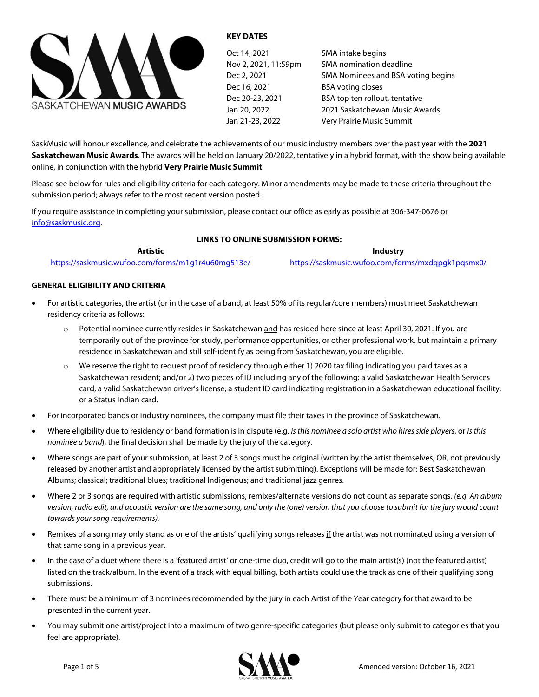

#### **KEY DATES**

| Oct 14, 2021         | SMA intake begins                  |
|----------------------|------------------------------------|
| Nov 2, 2021, 11:59pm | SMA nomination deadline            |
| Dec 2, 2021          | SMA Nominees and BSA voting begins |
| Dec 16, 2021         | <b>BSA voting closes</b>           |
| Dec 20-23, 2021      | BSA top ten rollout, tentative     |
| Jan 20, 2022         | 2021 Saskatchewan Music Awards     |
| Jan 21-23, 2022      | Very Prairie Music Summit          |

SaskMusic will honour excellence, and celebrate the achievements of our music industry members over the past year with the **2021 Saskatchewan Music Awards**. The awards will be held on January 20/2022, tentatively in a hybrid format, with the show being available online, in conjunction with the hybrid **Very Prairie Music Summit**.

Please see below for rules and eligibility criteria for each category. Minor amendments may be made to these criteria throughout the submission period; always refer to the most recent version posted.

If you require assistance in completing your submission, please contact our office as early as possible at 306-347-0676 or [info@saskmusic.org.](mailto:info@saskmusic.org)

#### **LINKS TO ONLINE SUBMISSION FORMS:**

**Artistic**  <https://saskmusic.wufoo.com/forms/m1g1r4u60mg513e/>

**Industry** <https://saskmusic.wufoo.com/forms/mxdqpgk1pqsmx0/>

#### **GENERAL ELIGIBILITY AND CRITERIA**

- For artistic categories, the artist (or in the case of a band, at least 50% of its regular/core members) must meet Saskatchewan residency criteria as follows:
	- o Potential nominee currently resides in Saskatchewan and has resided here since at least April 30, 2021. If you are temporarily out of the province for study, performance opportunities, or other professional work, but maintain a primary residence in Saskatchewan and still self-identify as being from Saskatchewan, you are eligible.
	- o We reserve the right to request proof of residency through either 1) 2020 tax filing indicating you paid taxes as a Saskatchewan resident; and/or 2) two pieces of ID including any of the following: a valid Saskatchewan Health Services card, a valid Saskatchewan driver's license, a student ID card indicating registration in a Saskatchewan educational facility, or a Status Indian card.
- For incorporated bands or industry nominees, the company must file their taxes in the province of Saskatchewan.
- Where eligibility due to residency or band formation is in dispute (e.g. *is this nominee a solo artist who hires side players*, or *is this nominee a band*), the final decision shall be made by the jury of the category.
- Where songs are part of your submission, at least 2 of 3 songs must be original (written by the artist themselves, OR, not previously released by another artist and appropriately licensed by the artist submitting). Exceptions will be made for: Best Saskatchewan Albums; classical; traditional blues; traditional Indigenous; and traditional jazz genres.
- Where 2 or 3 songs are required with artistic submissions, remixes/alternate versions do not count as separate songs. *(e.g. An album version, radio edit, and acoustic version are the same song, and only the (one) version that you choose to submit for the jury would count towards your song requirements).*
- Remixes of a song may only stand as one of the artists' qualifying songs releases if the artist was not nominated using a version of that same song in a previous year.
- In the case of a duet where there is a 'featured artist' or one-time duo, credit will go to the main artist(s) (not the featured artist) listed on the track/album. In the event of a track with equal billing, both artists could use the track as one of their qualifying song submissions.
- There must be a minimum of 3 nominees recommended by the jury in each Artist of the Year category for that award to be presented in the current year.
- You may submit one artist/project into a maximum of two genre-specific categories (but please only submit to categories that you feel are appropriate).

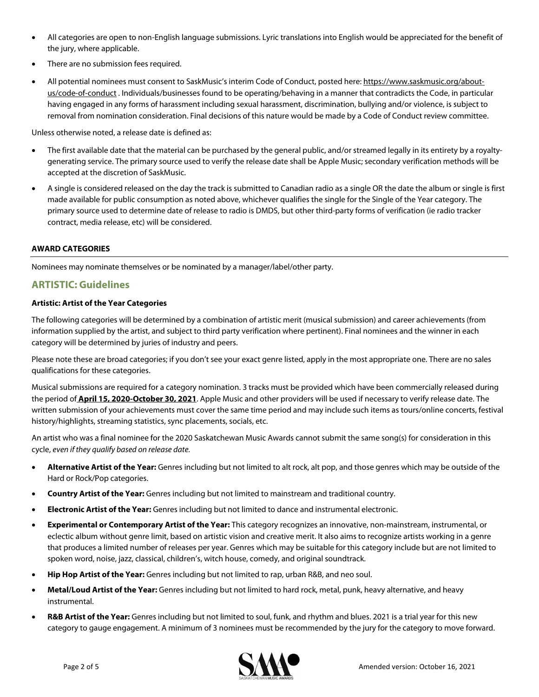- All categories are open to non-English language submissions. Lyric translations into English would be appreciated for the benefit of the jury, where applicable.
- There are no submission fees required.
- All potential nominees must consent to SaskMusic's interim Code of Conduct, posted here[: https://www.saskmusic.org/about](https://www.saskmusic.org/about-us/code-of-conduct)[us/code-of-conduct](https://www.saskmusic.org/about-us/code-of-conduct) . Individuals/businesses found to be operating/behaving in a manner that contradicts the Code, in particular having engaged in any forms of harassment including sexual harassment, discrimination, bullying and/or violence, is subject to removal from nomination consideration. Final decisions of this nature would be made by a Code of Conduct review committee.

Unless otherwise noted, a release date is defined as:

- The first available date that the material can be purchased by the general public, and/or streamed legally in its entirety by a royaltygenerating service. The primary source used to verify the release date shall be Apple Music; secondary verification methods will be accepted at the discretion of SaskMusic.
- A single is considered released on the day the track is submitted to Canadian radio as a single OR the date the album or single is first made available for public consumption as noted above, whichever qualifies the single for the Single of the Year category. The primary source used to determine date of release to radio is DMDS, but other third-party forms of verification (ie radio tracker contract, media release, etc) will be considered.

#### **AWARD CATEGORIES**

Nominees may nominate themselves or be nominated by a manager/label/other party.

## **ARTISTIC: Guidelines**

#### **Artistic: Artist of the Year Categories**

The following categories will be determined by a combination of artistic merit (musical submission) and career achievements (from information supplied by the artist, and subject to third party verification where pertinent). Final nominees and the winner in each category will be determined by juries of industry and peers.

Please note these are broad categories; if you don't see your exact genre listed, apply in the most appropriate one. There are no sales qualifications for these categories.

Musical submissions are required for a category nomination. 3 tracks must be provided which have been commercially released during the period of **April 15, 2020-October 30, 2021**. Apple Music and other providers will be used if necessary to verify release date. The written submission of your achievements must cover the same time period and may include such items as tours/online concerts, festival history/highlights, streaming statistics, sync placements, socials, etc.

An artist who was a final nominee for the 2020 Saskatchewan Music Awards cannot submit the same song(s) for consideration in this cycle, *even if they qualify based on release date.*

- **Alternative Artist of the Year:** Genres including but not limited to alt rock, alt pop, and those genres which may be outside of the Hard or Rock/Pop categories.
- **Country Artist of the Year:** Genres including but not limited to mainstream and traditional country.
- **Electronic Artist of the Year:** Genres including but not limited to dance and instrumental electronic.
- **Experimental or Contemporary Artist of the Year:** This category recognizes an innovative, non-mainstream, instrumental, or eclectic album without genre limit, based on artistic vision and creative merit. It also aims to recognize artists working in a genre that produces a limited number of releases per year. Genres which may be suitable for this category include but are not limited to spoken word, noise, jazz, classical, children's, witch house, comedy, and original soundtrack.
- **Hip Hop Artist of the Year:** Genres including but not limited to rap, urban R&B, and neo soul.
- **Metal/Loud Artist of the Year:** Genres including but not limited to hard rock, metal, punk, heavy alternative, and heavy instrumental.
- **R&B Artist of the Year:** Genres including but not limited to soul, funk, and rhythm and blues. 2021 is a trial year for this new category to gauge engagement. A minimum of 3 nominees must be recommended by the jury for the category to move forward.

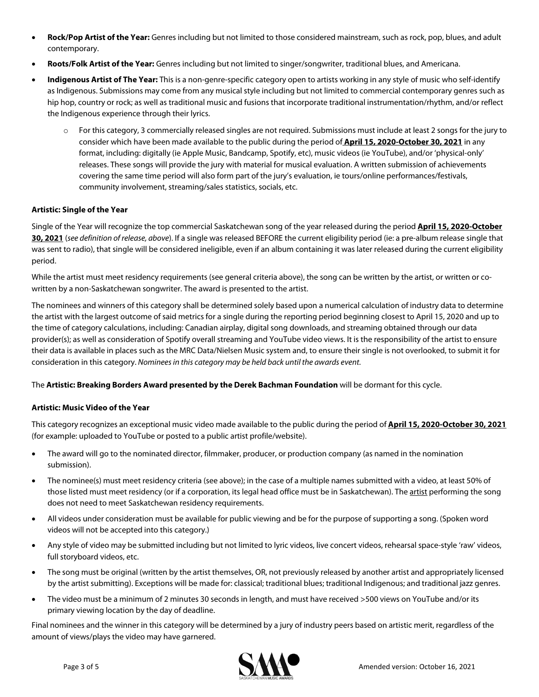- **Rock/Pop Artist of the Year:** Genres including but not limited to those considered mainstream, such as rock, pop, blues, and adult contemporary.
- **Roots/Folk Artist of the Year:** Genres including but not limited to singer/songwriter, traditional blues, and Americana.
- **Indigenous Artist of The Year:** This is a non-genre-specific category open to artists working in any style of music who self-identify as Indigenous. Submissions may come from any musical style including but not limited to commercial contemporary genres such as hip hop, country or rock; as well as traditional music and fusions that incorporate traditional instrumentation/rhythm, and/or reflect the Indigenous experience through their lyrics.
	- o For this category, 3 commercially released singles are not required. Submissions must include at least 2 songs for the jury to consider which have been made available to the public during the period of **April 15, 2020-October 30, 2021** in any format, including: digitally (ie Apple Music, Bandcamp, Spotify, etc), music videos (ie YouTube), and/or 'physical-only' releases. These songs will provide the jury with material for musical evaluation. A written submission of achievements covering the same time period will also form part of the jury's evaluation, ie tours/online performances/festivals, community involvement, streaming/sales statistics, socials, etc.

#### **Artistic: Single of the Year**

Single of the Year will recognize the top commercial Saskatchewan song of the year released during the period **April 15, 2020-October 30, 2021** (*see definition of release, above*). If a single was released BEFORE the current eligibility period (ie: a pre-album release single that was sent to radio), that single will be considered ineligible, even if an album containing it was later released during the current eligibility period.

While the artist must meet residency requirements (see general criteria above), the song can be written by the artist, or written or cowritten by a non-Saskatchewan songwriter. The award is presented to the artist.

The nominees and winners of this category shall be determined solely based upon a numerical calculation of industry data to determine the artist with the largest outcome of said metrics for a single during the reporting period beginning closest to April 15, 2020 and up to the time of category calculations, including: Canadian airplay, digital song downloads, and streaming obtained through our data provider(s); as well as consideration of Spotify overall streaming and YouTube video views. It is the responsibility of the artist to ensure their data is available in places such as the MRC Data/Nielsen Music system and, to ensure their single is not overlooked, to submit it for consideration in this category. *Nominees in this category may be held back until the awards event.*

The **Artistic: Breaking Borders Award presented by the Derek Bachman Foundation** will be dormant for this cycle.

#### **Artistic: Music Video of the Year**

This category recognizes an exceptional music video made available to the public during the period of **April 15, 2020-October 30, 2021** (for example: uploaded to YouTube or posted to a public artist profile/website).

- The award will go to the nominated director, filmmaker, producer, or production company (as named in the nomination submission).
- The nominee(s) must meet residency criteria (see above); in the case of a multiple names submitted with a video, at least 50% of those listed must meet residency (or if a corporation, its legal head office must be in Saskatchewan). The artist performing the song does not need to meet Saskatchewan residency requirements.
- All videos under consideration must be available for public viewing and be for the purpose of supporting a song. (Spoken word videos will not be accepted into this category.)
- Any style of video may be submitted including but not limited to lyric videos, live concert videos, rehearsal space-style 'raw' videos, full storyboard videos, etc.
- The song must be original (written by the artist themselves, OR, not previously released by another artist and appropriately licensed by the artist submitting). Exceptions will be made for: classical; traditional blues; traditional Indigenous; and traditional jazz genres.
- The video must be a minimum of 2 minutes 30 seconds in length, and must have received >500 views on YouTube and/or its primary viewing location by the day of deadline.

Final nominees and the winner in this category will be determined by a jury of industry peers based on artistic merit, regardless of the amount of views/plays the video may have garnered.

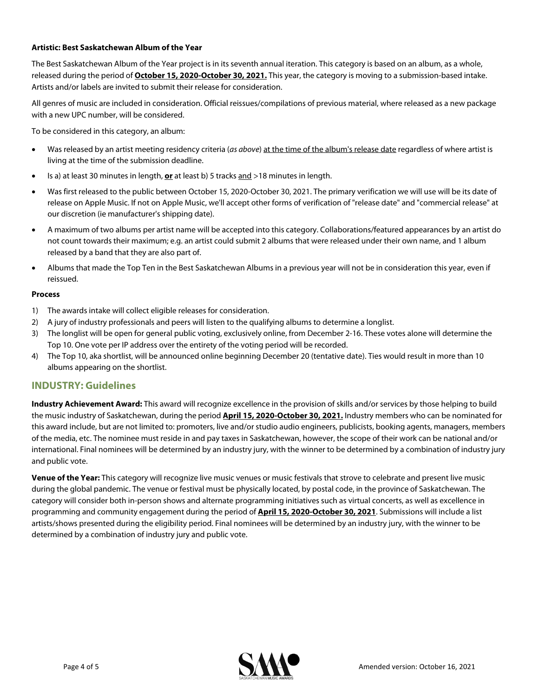#### **Artistic: Best Saskatchewan Album of the Year**

The Best Saskatchewan Album of the Year project is in its seventh annual iteration. This category is based on an album, as a whole, released during the period of **October 15, 2020-October 30, 2021.** This year, the category is moving to a submission-based intake. Artists and/or labels are invited to submit their release for consideration.

All genres of music are included in consideration. Official reissues/compilations of previous material, where released as a new package with a new UPC number, will be considered.

To be considered in this category, an album:

- Was released by an artist meeting residency criteria (*as above*) at the time of the album's release date regardless of where artist is living at the time of the submission deadline.
- Is a) at least 30 minutes in length, **or** at least b) 5 tracks and >18 minutes in length.
- Was first released to the public between October 15, 2020-October 30, 2021. The primary verification we will use will be its date of release on Apple Music. If not on Apple Music, we'll accept other forms of verification of "release date" and "commercial release" at our discretion (ie manufacturer's shipping date).
- A maximum of two albums per artist name will be accepted into this category. Collaborations/featured appearances by an artist do not count towards their maximum; e.g. an artist could submit 2 albums that were released under their own name, and 1 album released by a band that they are also part of.
- Albums that made the Top Ten in the Best Saskatchewan Albums in a previous year will not be in consideration this year, even if reissued.

#### **Process**

- 1) The awards intake will collect eligible releases for consideration.
- 2) A jury of industry professionals and peers will listen to the qualifying albums to determine a longlist.
- 3) The longlist will be open for general public voting, exclusively online, from December 2-16. These votes alone will determine the Top 10. One vote per IP address over the entirety of the voting period will be recorded.
- 4) The Top 10, aka shortlist, will be announced online beginning December 20 (tentative date). Ties would result in more than 10 albums appearing on the shortlist.

### **INDUSTRY: Guidelines**

**Industry Achievement Award:** This award will recognize excellence in the provision of skills and/or services by those helping to build the music industry of Saskatchewan, during the period **April 15, 2020-October 30, 2021.** Industry members who can be nominated for this award include, but are not limited to: promoters, live and/or studio audio engineers, publicists, booking agents, managers, members of the media, etc. The nominee must reside in and pay taxes in Saskatchewan, however, the scope of their work can be national and/or international. Final nominees will be determined by an industry jury, with the winner to be determined by a combination of industry jury and public vote.

**Venue of the Year:** This category will recognize live music venues or music festivals that strove to celebrate and present live music during the global pandemic. The venue or festival must be physically located, by postal code, in the province of Saskatchewan. The category will consider both in-person shows and alternate programming initiatives such as virtual concerts, as well as excellence in programming and community engagement during the period of **April 15, 2020-October 30, 2021**. Submissions will include a list artists/shows presented during the eligibility period. Final nominees will be determined by an industry jury, with the winner to be determined by a combination of industry jury and public vote.